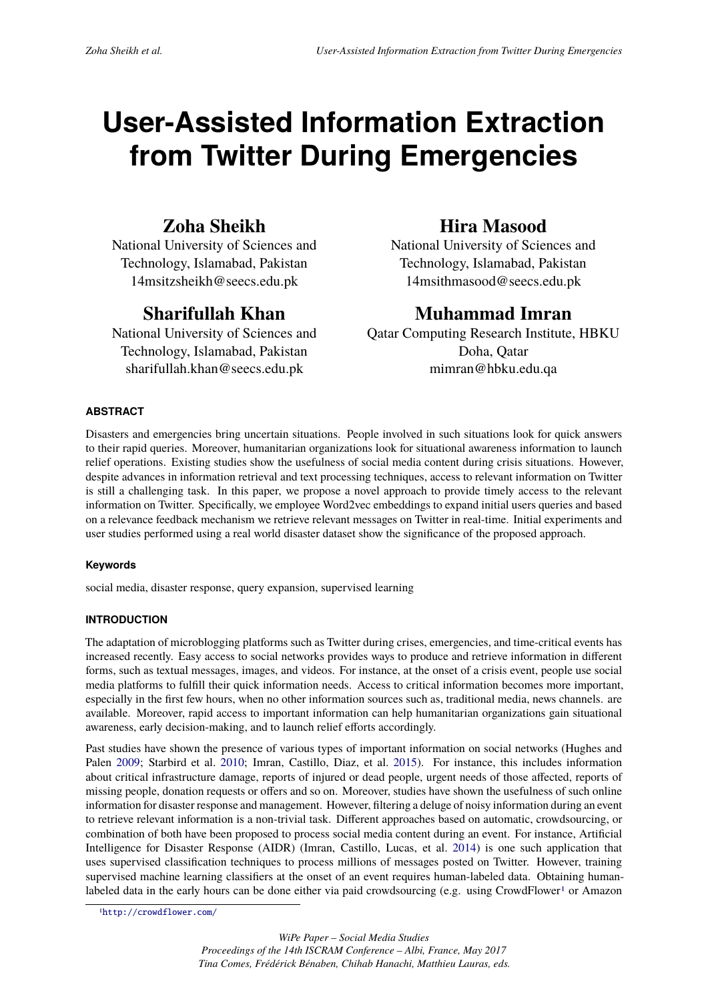# **User-Assisted Information Extraction from Twitter During Emergencies**

# **Zoha Sheikh**

National University of Sciences and Technology, Islamabad, Pakistan 14msitzsheikh@seecs.edu.pk

# **Sharifullah Khan**

National University of Sciences and Technology, Islamabad, Pakistan sharifullah.khan@seecs.edu.pk

# **Hira Masood**

National University of Sciences and Technology, Islamabad, Pakistan 14msithmasood@seecs.edu.pk

# **Muhammad Imran**

Qatar Computing Research Institute, HBKU Doha, Qatar mimran@hbku.edu.qa

# **ABSTRACT**

Disasters and emergencies bring uncertain situations. People involved in such situations look for quick answers to their rapid queries. Moreover, humanitarian organizations look for situational awareness information to launch relief operations. Existing studies show the usefulness of social media content during crisis situations. However, despite advances in information retrieval and text processing techniques, access to relevant information on Twitter is still a challenging task. In this paper, we propose a novel approach to provide timely access to the relevant information on Twitter. Specifically, we employee Word2vec embeddings to expand initial users queries and based on a relevance feedback mechanism we retrieve relevant messages on Twitter in real-time. Initial experiments and user studies performed using a real world disaster dataset show the significance of the proposed approach.

# **Keywords**

social media, disaster response, query expansion, supervised learning

# **INTRODUCTION**

The adaptation of microblogging platforms such as Twitter during crises, emergencies, and time-critical events has increased recently. Easy access to social networks provides ways to produce and retrieve information in different forms, such as textual messages, images, and videos. For instance, at the onset of a crisis event, people use social media platforms to fulfill their quick information needs. Access to critical information becomes more important, especially in the first few hours, when no other information sources such as, traditional media, news channels. are available. Moreover, rapid access to important information can help humanitarian organizations gain situational awareness, early decision-making, and to launch relief efforts accordingly.

Past studies have shown the presence of various types of important information on social networks (Hughes and Palen 2009; Starbird et al. 2010; Imran, Castillo, Diaz, et al. 2015). For instance, this includes information about critical infrastructure damage, reports of injured or dead people, urgent needs of those affected, reports of missing people, donation requests or offers and so on. Moreover, studies have shown the usefulness of such online information for disaster response and management. However, filtering a deluge of noisy information during an event to retr[ieve r](#page-6-0)elevant informat[ion is](#page-7-0) a non-trivial task. Different ap[proac](#page-6-1)hes based on automatic, crowdsourcing, or combination of both have been proposed to process social media content during an event. For instance, Artificial Intelligence for Disaster Response (AIDR) (Imran, Castillo, Lucas, et al. 2014) is one such application that uses supervised classification techniques to process millions of messages posted on Twitter. However, training supervised machine learning classifiers at the onset of an event requires human-labeled data. Obtaining humanlabeled data in the early hours can be done either via paid crowdsourcing (e.g. using CrowdFlower<sup>1</sup> or Amazon

<sup>1</sup>http://crowdflower.com/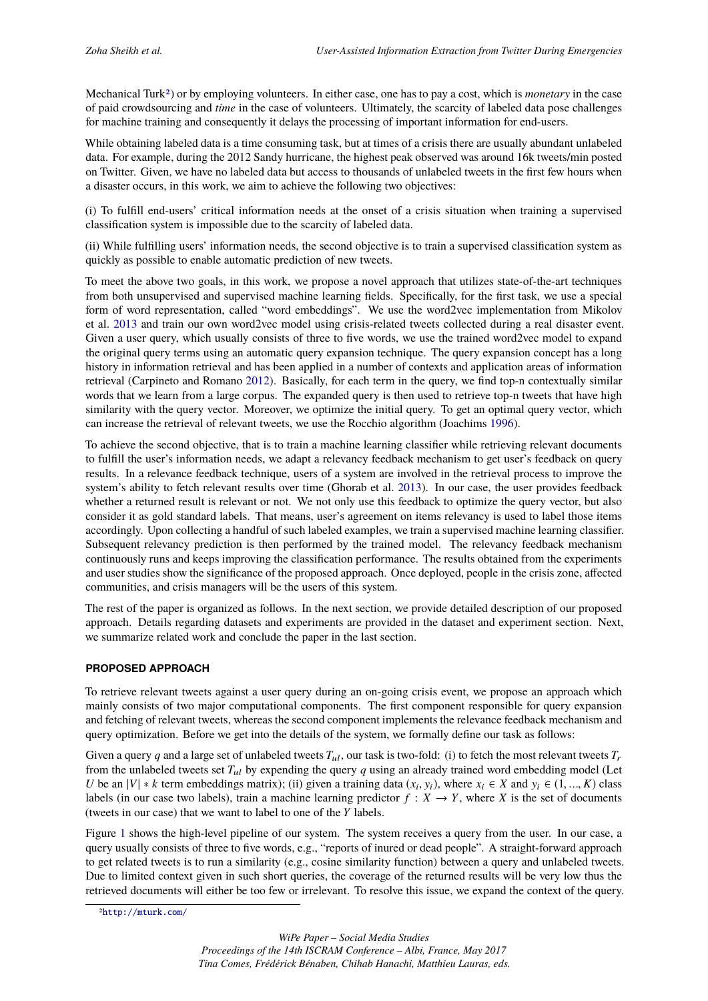Mechanical Turk2) or by employing volunteers. In either case, one has to pay a cost, which is *monetary* in the case of paid crowdsourcing and *time* in the case of volunteers. Ultimately, the scarcity of labeled data pose challenges for machine training and consequently it delays the processing of important information for end-users.

While obtaining labeled data is a time consuming task, but at times of a crisis there are usually abundant unlabeled data. For examp[le](#page-1-0), during the 2012 Sandy hurricane, the highest peak observed was around 16k tweets/min posted on Twitter. Given, we have no labeled data but access to thousands of unlabeled tweets in the first few hours when a disaster occurs, in this work, we aim to achieve the following two objectives:

(i) To fulfill end-users' critical information needs at the onset of a crisis situation when training a supervised classification system is impossible due to the scarcity of labeled data.

(ii) While fulfilling users' information needs, the second objective is to train a supervised classification system as quickly as possible to enable automatic prediction of new tweets.

To meet the above two goals, in this work, we propose a novel approach that utilizes state-of-the-art techniques from both unsupervised and supervised machine learning fields. Specifically, for the first task, we use a special form of word representation, called "word embeddings". We use the word2vec implementation from Mikolov et al. 2013 and train our own word2vec model using crisis-related tweets collected during a real disaster event. Given a user query, which usually consists of three to five words, we use the trained word2vec model to expand the original query terms using an automatic query expansion technique. The query expansion concept has a long history in information retrieval and has been applied in a number of contexts and application areas of information retrie[val \(C](#page-7-1)arpineto and Romano 2012). Basically, for each term in the query, we find top-n contextually similar words that we learn from a large corpus. The expanded query is then used to retrieve top-n tweets that have high similarity with the query vector. Moreover, we optimize the initial query. To get an optimal query vector, which can increase the retrieval of relevant tweets, we use the Rocchio algorithm (Joachims 1996).

To achieve the second objective, t[hat is](#page-6-2) to train a machine learning classifier while retrieving relevant documents to fulfill the user's information needs, we adapt a relevancy feedback mechanism to get user's feedback on query results. In a relevance feedback technique, users of a system are involved in the retrieval process to improve the system's ability to fetch relevant results over time (Ghorab et al. 2013). In our case[, the u](#page-7-2)ser provides feedback whether a returned result is relevant or not. We not only use this feedback to optimize the query vector, but also consider it as gold standard labels. That means, user's agreement on items relevancy is used to label those items accordingly. Upon collecting a handful of such labeled examples, we train a supervised machine learning classifier. Subsequent relevancy prediction is then performed by the train[ed mo](#page-6-3)del. The relevancy feedback mechanism continuously runs and keeps improving the classification performance. The results obtained from the experiments and user studies show the significance of the proposed approach. Once deployed, people in the crisis zone, affected communities, and crisis managers will be the users of this system.

The rest of the paper is organized as follows. In the next section, we provide detailed description of our proposed approach. Details regarding datasets and experiments are provided in the dataset and experiment section. Next, we summarize related work and conclude the paper in the last section.

## **PROPOSED APPROACH**

To retrieve relevant tweets against a user query during an on-going crisis event, we propose an approach which mainly consists of two major computational components. The first component responsible for query expansion and fetching of relevant tweets, whereas the second component implements the relevance feedback mechanism and query optimization. Before we get into the details of the system, we formally define our task as follows:

Given a query *q* and a large set of unlabeled tweets  $T_{ul}$ , our task is two-fold: (i) to fetch the most relevant tweets  $T_r$ from the unlabeled tweets set  $T_{ul}$  by expending the query  $q$  using an already trained word embedding model (Let *U* be an  $|V| * k$  term embeddings matrix); (ii) given a training data  $(x_i, y_i)$ , where  $x_i \in X$  and  $y_i \in (1, ..., K)$  class labels (in our case two labels), train a machine learning predictor  $f : X \to Y$ , where *X* is the set of documents (tweets in our case) that we want to label to one of the *Y* labels.

Figure 1 shows the high-level pipeline of our system. The system receives a query from the user. In our case, a query usually consists of three to five words, e.g., "reports of inured or dead people". A straight-forward approach to get related tweets is to run a similarity (e.g., cosine similarity function) between a query and unlabeled tweets. Due to limited context given in such short queries, the coverage of the returned results will be very low thus the retriev[ed](#page-2-0) documents will either be too few or irrelevant. To resolve this issue, we expand the context of the query.

<span id="page-1-0"></span><sup>2</sup>http://mturk.com/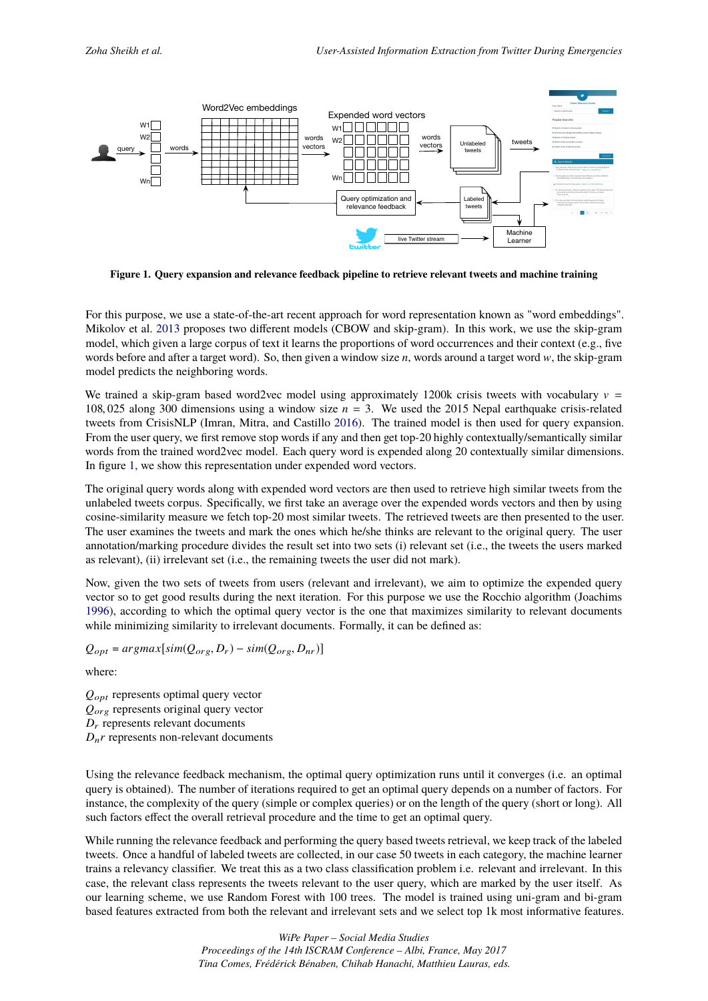<span id="page-2-0"></span>

**Figure 1. Query expansion and relevance feedback pipeline to retrieve relevant tweets and machine training**

For this purpose, we use a state-of-the-art recent approach for word representation known as "word embeddings". Mikolov et al. 2013 proposes two different models (CBOW and skip-gram). In this work, we use the skip-gram model, which given a large corpus of text it learns the proportions of word occurrences and their context (e.g., five words before and after a target word). So, then given a window size *n*, words around a target word w, the skip-gram model predicts the neighboring words.

We trained a [skip-g](#page-7-1)ram based word2vec model using approximately 1200k crisis tweets with vocabulary  $v =$ 108, 025 along 300 dimensions using a window size *n* = 3. We used the 2015 Nepal earthquake crisis-related tweets from CrisisNLP (Imran, Mitra, and Castillo 2016). The trained model is then used for query expansion. From the user query, we first remove stop words if any and then get top-20 highly contextually/semantically similar words from the trained word2vec model. Each query word is expended along 20 contextually similar dimensions. In figure 1, we show this representation under expended word vectors.

The original query words along with expended word [vecto](#page-6-4)rs are then used to retrieve high similar tweets from the unlabeled tweets corpus. Specifically, we first take an average over the expended words vectors and then by using cosine-si[m](#page-2-0)ilarity measure we fetch top-20 most similar tweets. The retrieved tweets are then presented to the user. The user examines the tweets and mark the ones which he/she thinks are relevant to the original query. The user annotation/marking procedure divides the result set into two sets (i) relevant set (i.e., the tweets the users marked as relevant), (ii) irrelevant set (i.e., the remaining tweets the user did not mark).

Now, given the two sets of tweets from users (relevant and irrelevant), we aim to optimize the expended query vector so to get good results during the next iteration. For this purpose we use the Rocchio algorithm (Joachims 1996), according to which the optimal query vector is the one that maximizes similarity to relevant documents while minimizing similarity to irrelevant documents. Formally, it can be defined as:

 $Q_{opt} = argmax[sim(Q_{org}, D_r) - sim(Q_{org}, D_{nr})]$ 

[where](#page-7-2):

*Q*opt represents optimal query vector *Q*org represents original query vector *D*<sup>r</sup> represents relevant documents  $D_n r$  represents non-relevant documents

Using the relevance feedback mechanism, the optimal query optimization runs until it converges (i.e. an optimal query is obtained). The number of iterations required to get an optimal query depends on a number of factors. For instance, the complexity of the query (simple or complex queries) or on the length of the query (short or long). All such factors effect the overall retrieval procedure and the time to get an optimal query.

While running the relevance feedback and performing the query based tweets retrieval, we keep track of the labeled tweets. Once a handful of labeled tweets are collected, in our case 50 tweets in each category, the machine learner trains a relevancy classifier. We treat this as a two class classification problem i.e. relevant and irrelevant. In this case, the relevant class represents the tweets relevant to the user query, which are marked by the user itself. As our learning scheme, we use Random Forest with 100 trees. The model is trained using uni-gram and bi-gram based features extracted from both the relevant and irrelevant sets and we select top 1k most informative features.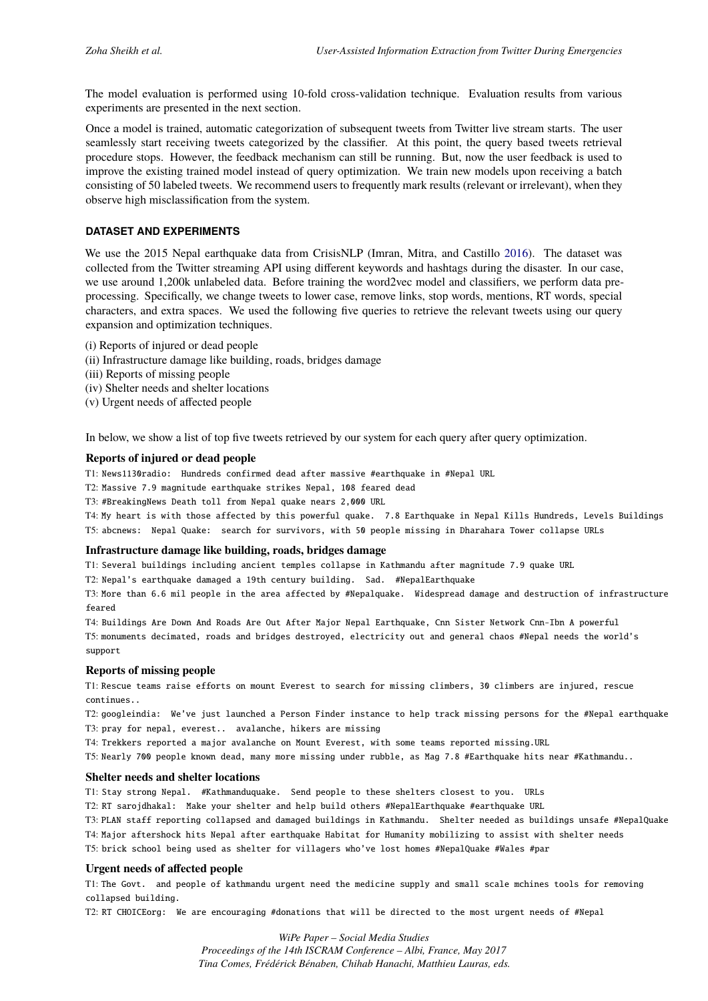The model evaluation is performed using 10-fold cross-validation technique. Evaluation results from various experiments are presented in the next section.

Once a model is trained, automatic categorization of subsequent tweets from Twitter live stream starts. The user seamlessly start receiving tweets categorized by the classifier. At this point, the query based tweets retrieval procedure stops. However, the feedback mechanism can still be running. But, now the user feedback is used to improve the existing trained model instead of query optimization. We train new models upon receiving a batch consisting of 50 labeled tweets. We recommend users to frequently mark results (relevant or irrelevant), when they observe high misclassification from the system.

# **DATASET AND EXPERIMENTS**

We use the 2015 Nepal earthquake data from CrisisNLP (Imran, Mitra, and Castillo 2016). The dataset was collected from the Twitter streaming API using different keywords and hashtags during the disaster. In our case, we use around 1,200k unlabeled data. Before training the word2vec model and classifiers, we perform data preprocessing. Specifically, we change tweets to lower case, remove links, stop words, mentions, RT words, special characters, and extra spaces. We used the following five queries to retrieve the releva[nt twe](#page-6-4)ets using our query expansion and optimization techniques.

- (i) Reports of injured or dead people
- (ii) Infrastructure damage like building, roads, bridges damage
- (iii) Reports of missing people
- (iv) Shelter needs and shelter locations
- (v) Urgent needs of affected people

In below, we show a list of top five tweets retrieved by our system for each query after query optimization.

#### **Reports of injured or dead people**

T1: News1130radio: Hundreds confirmed dead after massive #earthquake in #Nepal URL

T2: Massive 7.9 magnitude earthquake strikes Nepal, 108 feared dead

T3: #BreakingNews Death toll from Nepal quake nears 2,000 URL

T4: My heart is with those affected by this powerful quake. 7.8 Earthquake in Nepal Kills Hundreds, Levels Buildings T5: abcnews: Nepal Quake: search for survivors, with 50 people missing in Dharahara Tower collapse URLs

#### **Infrastructure damage like building, roads, bridges damage**

T1: Several buildings including ancient temples collapse in Kathmandu after magnitude 7.9 quake URL

T2: Nepal's earthquake damaged a 19th century building. Sad. #NepalEarthquake

T3: More than 6.6 mil people in the area affected by #Nepalquake. Widespread damage and destruction of infrastructure feared

T4: Buildings Are Down And Roads Are Out After Major Nepal Earthquake, Cnn Sister Network Cnn-Ibn A powerful T5: monuments decimated, roads and bridges destroyed, electricity out and general chaos #Nepal needs the world's support

#### **Reports of missing people**

T1: Rescue teams raise efforts on mount Everest to search for missing climbers, 30 climbers are injured, rescue continues..

T2: googleindia: We've just launched a Person Finder instance to help track missing persons for the #Nepal earthquake T3: pray for nepal, everest.. avalanche, hikers are missing

T4: Trekkers reported a major avalanche on Mount Everest, with some teams reported missing.URL

T5: Nearly 700 people known dead, many more missing under rubble, as Mag 7.8 #Earthquake hits near #Kathmandu..

#### **Shelter needs and shelter locations**

T1: Stay strong Nepal. #Kathmanduquake. Send people to these shelters closest to you. URLs

T2: RT sarojdhakal: Make your shelter and help build others #NepalEarthquake #earthquake URL

T3: PLAN staff reporting collapsed and damaged buildings in Kathmandu. Shelter needed as buildings unsafe #NepalQuake

T4: Major aftershock hits Nepal after earthquake Habitat for Humanity mobilizing to assist with shelter needs

T5: brick school being used as shelter for villagers who've lost homes #NepalQuake #Wales #par

### **Urgent needs of affected people**

T1: The Govt. and people of kathmandu urgent need the medicine supply and small scale mchines tools for removing collapsed building.

T2: RT CHOICEorg: We are encouraging #donations that will be directed to the most urgent needs of #Nepal

*WiPe Paper – Social Media Studies Proceedings of the 14th ISCRAM Conference – Albi, France, May 2017 Tina Comes, Frédérick Bénaben, Chihab Hanachi, Matthieu Lauras, eds.*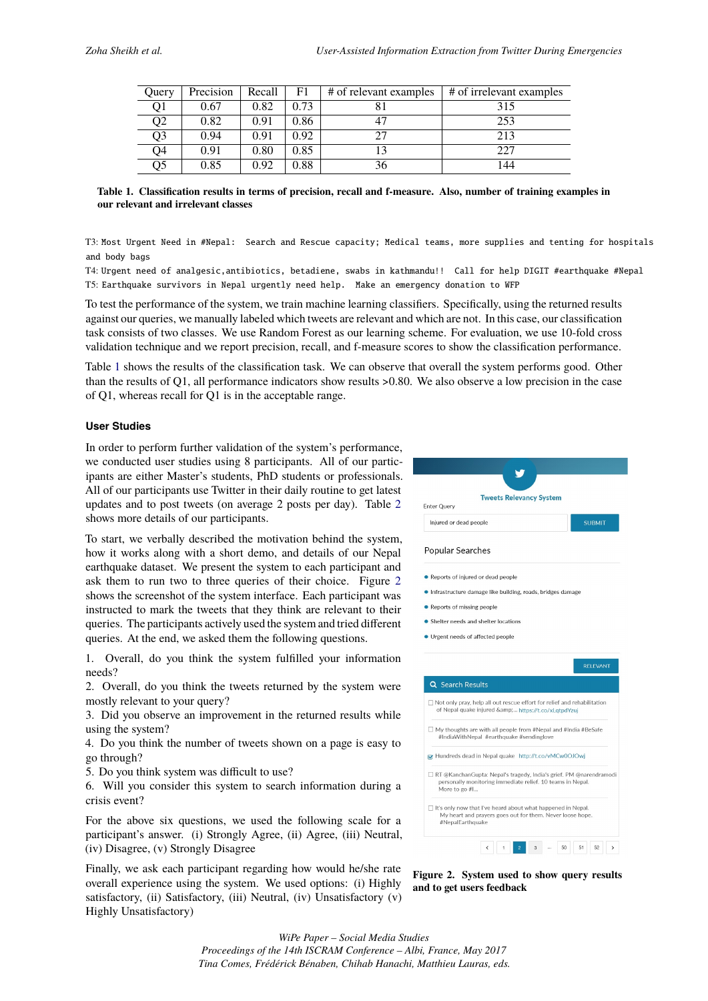| Ouery          | Precision | Recall | F1   | # of relevant examples | # of irrelevant examples |
|----------------|-----------|--------|------|------------------------|--------------------------|
| Q1             | 0.67      | 0.82   | 0.73 |                        | 315                      |
| Q <sub>2</sub> | 0.82      | 0.91   | 0.86 |                        | 253                      |
| Q3             | 0.94      | 0.91   | 0.92 | 27                     | 213                      |
| Q4             | 0.91      | 0.80   | 0.85 |                        | 227                      |
| Q5             | 0.85      | 0.92   | 0.88 | 36                     | 144                      |

<span id="page-4-0"></span>

| Table 1. Classification results in terms of precision, recall and f-measure. Also, number of training examples in |  |  |  |
|-------------------------------------------------------------------------------------------------------------------|--|--|--|
| our relevant and irrelevant classes                                                                               |  |  |  |

T3: Most Urgent Need in #Nepal: Search and Rescue capacity; Medical teams, more supplies and tenting for hospitals and body bags

T4: Urgent need of analgesic,antibiotics, betadiene, swabs in kathmandu!! Call for help DIGIT #earthquake #Nepal T5: Earthquake survivors in Nepal urgently need help. Make an emergency donation to WFP

To test the performance of the system, we train machine learning classifiers. Specifically, using the returned results against our queries, we manually labeled which tweets are relevant and which are not. In this case, our classification task consists of two classes. We use Random Forest as our learning scheme. For evaluation, we use 10-fold cross validation technique and we report precision, recall, and f-measure scores to show the classification performance.

Table 1 shows the results of the classification task. We can observe that overall the system performs good. Other than the results of Q1, all performance indicators show results >0.80. We also observe a low precision in the case of Q1, whereas recall for Q1 is in the acceptable range.

### **User [St](#page-4-0)udies**

In order to perform further validation of the system's performance, we conducted user studies using 8 participants. All of our participants are either Master's students, PhD students or professionals. All of our participants use Twitter in their daily routine to get latest updates and to post tweets (on average 2 posts per day). Table 2 shows more details of our participants.

To start, we verbally described the motivation behind the system, how it works along with a short demo, and details of our Nepal earthquake dataset. We present the system to each participant a[nd](#page-5-0) ask them to run two to three queries of their choice. Figure 2 shows the screenshot of the system interface. Each participant was instructed to mark the tweets that they think are relevant to their queries. The participants actively used the system and tried different queries. At the end, we asked them the following questions.

1. Overall, do you think the system fulfilled your information needs?

2. Overall, do you think the tweets returned by the system were mostly relevant to your query?

3. Did you observe an improvement in the returned results while using the system?

4. Do you think the number of tweets shown on a page is easy to go through?

5. Do you think system was difficult to use?

6. Will you consider this system to search information during a crisis event?

For the above six questions, we used the following scale for a participant's answer. (i) Strongly Agree, (ii) Agree, (iii) Neutral, (iv) Disagree, (v) Strongly Disagree

Finally, we ask each participant regarding how would he/she rate overall experience using the system. We used options: (i) Highly satisfactory, (ii) Satisfactory, (iii) Neutral, (iv) Unsatisfactory (v) Highly Unsatisfactory)



**Figure 2. System used to show query results and to get users feedback**

*WiPe Paper – Social Media Studies Proceedings of the 14th ISCRAM Conference – Albi, France, May 2017 Tina Comes, Frédérick Bénaben, Chihab Hanachi, Matthieu Lauras, eds.*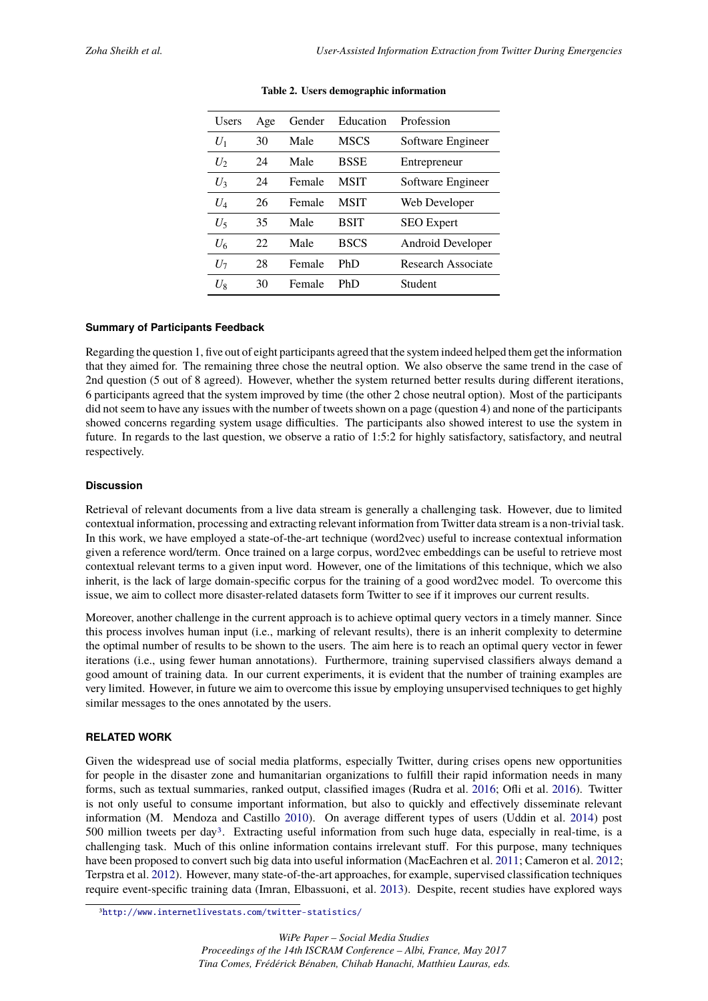<span id="page-5-0"></span>

| Users | Age | Gender | Education   | Profession         |
|-------|-----|--------|-------------|--------------------|
| $U_1$ | 30  | Male   | <b>MSCS</b> | Software Engineer  |
| $U_2$ | 24  | Male   | <b>BSSE</b> | Entrepreneur       |
| $U_3$ | 24  | Female | <b>MSIT</b> | Software Engineer  |
| $U_4$ | 26  | Female | MSIT        | Web Developer      |
| U,    | 35  | Male   | <b>BSIT</b> | <b>SEO</b> Expert  |
| $U_6$ | 22  | Male   | <b>BSCS</b> | Android Developer  |
| $U_7$ | 28  | Female | PhD         | Research Associate |
| $U_8$ | 30  | Female | PhD         | Student            |

#### **Summary of Participants Feedback**

Regarding the question 1, five out of eight participants agreed that the system indeed helped them get the information that they aimed for. The remaining three chose the neutral option. We also observe the same trend in the case of 2nd question (5 out of 8 agreed). However, whether the system returned better results during different iterations, 6 participants agreed that the system improved by time (the other 2 chose neutral option). Most of the participants did not seem to have any issues with the number of tweets shown on a page (question 4) and none of the participants showed concerns regarding system usage difficulties. The participants also showed interest to use the system in future. In regards to the last question, we observe a ratio of 1:5:2 for highly satisfactory, satisfactory, and neutral respectively.

# **Discussion**

Retrieval of relevant documents from a live data stream is generally a challenging task. However, due to limited contextual information, processing and extracting relevant information from Twitter data stream is a non-trivial task. In this work, we have employed a state-of-the-art technique (word2vec) useful to increase contextual information given a reference word/term. Once trained on a large corpus, word2vec embeddings can be useful to retrieve most contextual relevant terms to a given input word. However, one of the limitations of this technique, which we also inherit, is the lack of large domain-specific corpus for the training of a good word2vec model. To overcome this issue, we aim to collect more disaster-related datasets form Twitter to see if it improves our current results.

Moreover, another challenge in the current approach is to achieve optimal query vectors in a timely manner. Since this process involves human input (i.e., marking of relevant results), there is an inherit complexity to determine the optimal number of results to be shown to the users. The aim here is to reach an optimal query vector in fewer iterations (i.e., using fewer human annotations). Furthermore, training supervised classifiers always demand a good amount of training data. In our current experiments, it is evident that the number of training examples are very limited. However, in future we aim to overcome this issue by employing unsupervised techniques to get highly similar messages to the ones annotated by the users.

#### **RELATED WORK**

Given the widespread use of social media platforms, especially Twitter, during crises opens new opportunities for people in the disaster zone and humanitarian organizations to fulfill their rapid information needs in many forms, such as textual summaries, ranked output, classified images (Rudra et al. 2016; Ofli et al. 2016). Twitter is not only useful to consume important information, but also to quickly and effectively disseminate relevant information (M. Mendoza and Castillo 2010). On average different types of users (Uddin et al. 2014) post 500 million tweets per day3. Extracting useful information from such huge data, especially in real-time, is a challenging task. Much of this online information contains irrelevant stuff. Fo[r this](#page-7-3) purpose, m[any te](#page-7-4)chniques have been proposed to convert such big data into useful information (MacEachren et al. 2011; Cameron et al. 2012; Terpstra et al. 2012). However, many state[-of-th](#page-7-5)e-art approaches, for example, supervised classification [techn](#page-7-6)iques require event-specific traini[n](#page-5-1)g data (Imran, Elbassuoni, et al. 2013). Despite, recent studies have explored ways

<span id="page-5-1"></span><sup>3</sup>http://www.internetlivestats.com/twitter-statistics/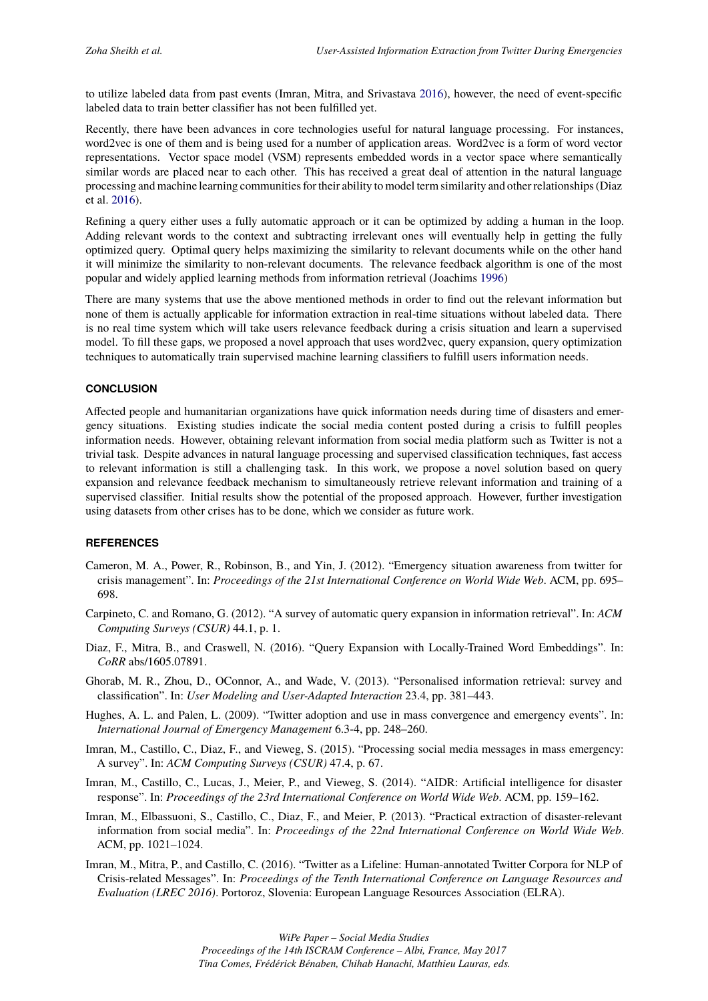to utilize labeled data from past events (Imran, Mitra, and Srivastava 2016), however, the need of event-specific labeled data to train better classifier has not been fulfilled yet.

Recently, there have been advances in core technologies useful for natural language processing. For instances, word2vec is one of them and is being used for a number of application areas. Word2vec is a form of word vector representations. Vector space model (VSM) represents embedded w[ords i](#page-7-7)n a vector space where semantically similar words are placed near to each other. This has received a great deal of attention in the natural language processing and machine learning communities for their ability to model term similarity and other relationships (Diaz et al. 2016).

Refining a query either uses a fully automatic approach or it can be optimized by adding a human in the loop. Adding relevant words to the context and subtracting irrelevant ones will eventually help in getting the fully optimized query. Optimal query helps maximizing the similarity to relevant documents while on the other hand it wil[l min](#page-6-6)imize the similarity to non-relevant documents. The relevance feedback algorithm is one of the most popular and widely applied learning methods from information retrieval (Joachims 1996)

There are many systems that use the above mentioned methods in order to find out the relevant information but none of them is actually applicable for information extraction in real-time situations without labeled data. There is no real time system which will take users relevance feedback during a crisis situation and learn a supervised model. To fill these gaps, we proposed a novel approach that uses word2vec, query [expan](#page-7-2)sion, query optimization techniques to automatically train supervised machine learning classifiers to fulfill users information needs.

#### **CONCLUSION**

Affected people and humanitarian organizations have quick information needs during time of disasters and emergency situations. Existing studies indicate the social media content posted during a crisis to fulfill peoples information needs. However, obtaining relevant information from social media platform such as Twitter is not a trivial task. Despite advances in natural language processing and supervised classification techniques, fast access to relevant information is still a challenging task. In this work, we propose a novel solution based on query expansion and relevance feedback mechanism to simultaneously retrieve relevant information and training of a supervised classifier. Initial results show the potential of the proposed approach. However, further investigation using datasets from other crises has to be done, which we consider as future work.

## **REFERENCES**

- Cameron, M. A., Power, R., Robinson, B., and Yin, J. (2012). "Emergency situation awareness from twitter for crisis management". In: *Proceedings of the 21st International Conference on World Wide Web*. ACM, pp. 695– 698.
- Carpineto, C. and Romano, G. (2012). "A survey of automatic query expansion in information retrieval". In: *ACM Computing Surveys (CSUR)* 44.1, p. 1.
- Diaz, F., Mitra, B., and Craswell, N. (2016). "Query Expansion with Locally-Trained Word Embeddings". In: *CoRR* abs/1605.07891.
- <span id="page-6-2"></span>Ghorab, M. R., Zhou, D., OConnor, A., and Wade, V. (2013). "Personalised information retrieval: survey and classification". In: *User Modeling and User-Adapted Interaction* 23.4, pp. 381–443.
- <span id="page-6-6"></span>Hughes, A. L. and Palen, L. (2009). "Twitter adoption and use in mass convergence and emergency events". In: *International Journal of Emergency Management* 6.3-4, pp. 248–260.
- <span id="page-6-3"></span>Imran, M., Castillo, C., Diaz, F., and Vieweg, S. (2015). "Processing social media messages in mass emergency: A survey". In: *ACM Computing Surveys (CSUR)* 47.4, p. 67.
- <span id="page-6-0"></span>Imran, M., Castillo, C., Lucas, J., Meier, P., and Vieweg, S. (2014). "AIDR: Artificial intelligence for disaster response". In: *Proceedings of the 23rd International Conference on World Wide Web*. ACM, pp. 159–162.
- <span id="page-6-1"></span>Imran, M., Elbassuoni, S., Castillo, C., Diaz, F., and Meier, P. (2013). "Practical extraction of disaster-relevant information from social media". In: *Proceedings of the 22nd International Conference on World Wide Web*. ACM, pp. 1021–1024.
- <span id="page-6-5"></span><span id="page-6-4"></span>Imran, M., Mitra, P., and Castillo, C. (2016). "Twitter as a Lifeline: Human-annotated Twitter Corpora for NLP of Crisis-related Messages". In: *Proceedings of the Tenth International Conference on Language Resources and Evaluation (LREC 2016)*. Portoroz, Slovenia: European Language Resources Association (ELRA).